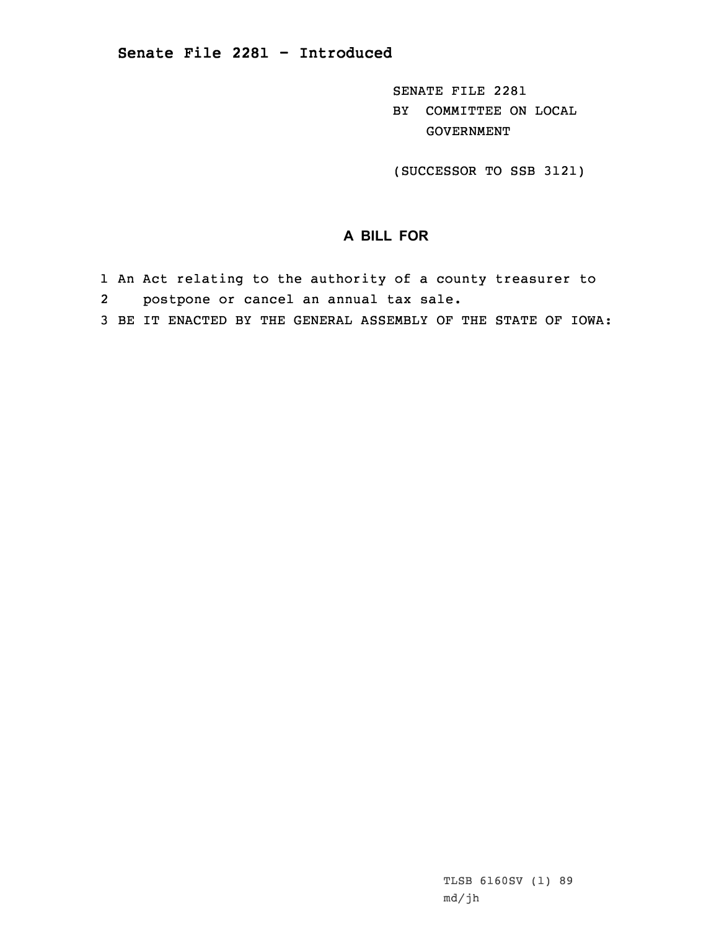SENATE FILE 2281 BY COMMITTEE ON LOCAL GOVERNMENT

(SUCCESSOR TO SSB 3121)

## **A BILL FOR**

- 1 An Act relating to the authority of <sup>a</sup> county treasurer to
- 2 postpone or cancel an annual tax sale.
- 3 BE IT ENACTED BY THE GENERAL ASSEMBLY OF THE STATE OF IOWA: